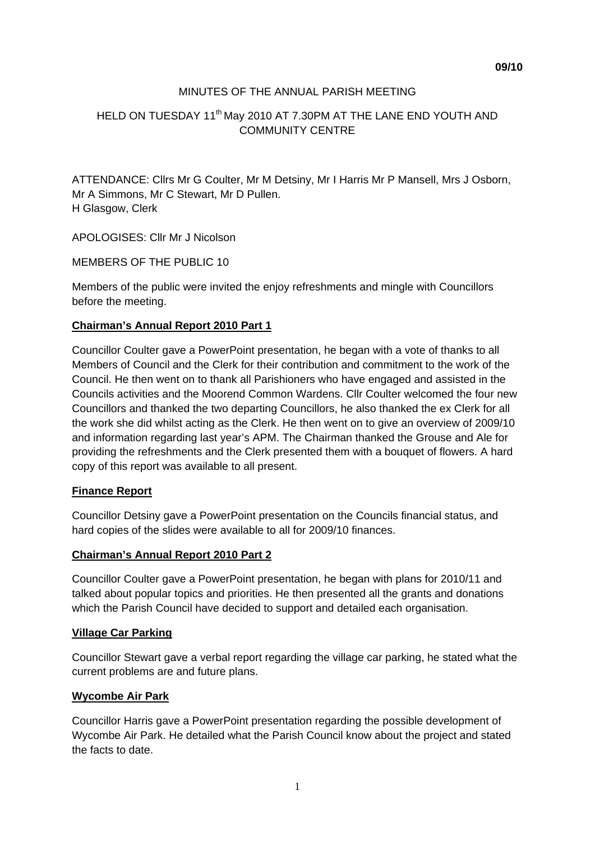## MINUTES OF THE ANNUAL PARISH MEETING

# HELD ON TUESDAY 11<sup>th</sup> May 2010 AT 7.30PM AT THE LANE END YOUTH AND COMMUNITY CENTRE

ATTENDANCE: Cllrs Mr G Coulter, Mr M Detsiny, Mr I Harris Mr P Mansell, Mrs J Osborn, Mr A Simmons, Mr C Stewart, Mr D Pullen. H Glasgow, Clerk

APOLOGISES: Cllr Mr J Nicolson

MEMBERS OF THE PUBLIC 10

Members of the public were invited the enjoy refreshments and mingle with Councillors before the meeting.

### **Chairman's Annual Report 2010 Part 1**

Councillor Coulter gave a PowerPoint presentation, he began with a vote of thanks to all Members of Council and the Clerk for their contribution and commitment to the work of the Council. He then went on to thank all Parishioners who have engaged and assisted in the Councils activities and the Moorend Common Wardens. Cllr Coulter welcomed the four new Councillors and thanked the two departing Councillors, he also thanked the ex Clerk for all the work she did whilst acting as the Clerk. He then went on to give an overview of 2009/10 and information regarding last year's APM. The Chairman thanked the Grouse and Ale for providing the refreshments and the Clerk presented them with a bouquet of flowers. A hard copy of this report was available to all present.

#### **Finance Report**

Councillor Detsiny gave a PowerPoint presentation on the Councils financial status, and hard copies of the slides were available to all for 2009/10 finances.

#### **Chairman's Annual Report 2010 Part 2**

Councillor Coulter gave a PowerPoint presentation, he began with plans for 2010/11 and talked about popular topics and priorities. He then presented all the grants and donations which the Parish Council have decided to support and detailed each organisation.

#### **Village Car Parking**

Councillor Stewart gave a verbal report regarding the village car parking, he stated what the current problems are and future plans.

### **Wycombe Air Park**

Councillor Harris gave a PowerPoint presentation regarding the possible development of Wycombe Air Park. He detailed what the Parish Council know about the project and stated the facts to date.